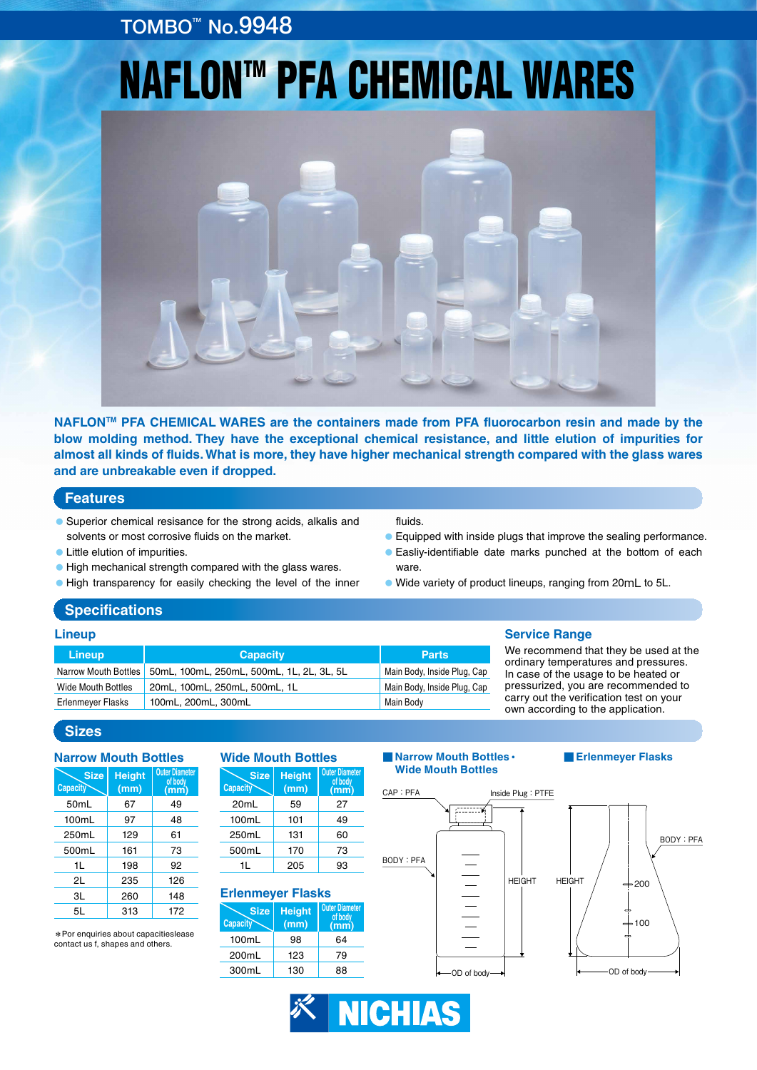## TOMBO<sup>™</sup> No.9948

# **NAFLON™ PFA CHEMICAL WARES**



**NAFLONTM PFA CHEMICAL WARES are the containers made from PFA fluorocarbon resin and made by the blow molding method. They have the exceptional chemical resistance, and little elution of impurities for almost all kinds of fluids. What is more, they have higher mechanical strength compared with the glass wares and are unbreakable even if dropped.**

#### **Features**

- Superior chemical resisance for the strong acids, alkalis and solvents or most corrosive fluids on the market.
- Little elution of impurities.
- ●High mechanical strength compared with the glass wares.
- ●High transparency for easily checking the level of the inner

#### fluids.

- Equipped with inside plugs that improve the sealing performance.
- Easliv-identifiable date marks punched at the bottom of each ware.
- ●Wide variety of product lineups, ranging from 20mL to 5L.

#### **Specifications**

#### Narrow Mouth Bottles Wide Mouth Bottles Erlenmeyer Flasks 50mL, 100mL, 250mL, 500mL, 1L, 2L, 3L, 5L 20mL, 100mL, 250mL, 500mL, 1L 100mL, 200mL, 300mL Main Body, Inside Plug, Cap Main Body, Inside Plug, Cap Main Body **Lineup Capacity Parts Lineup Service Range**

We recommend that they be used at the ordinary temperatures and pressures. In case of the usage to be heated or pressurized, you are recommended to carry out the verification test on your own according to the application.

### **Sizes**

| <b>Narrow Mouth Bottles</b> |                       |                                         |  |  |  |
|-----------------------------|-----------------------|-----------------------------------------|--|--|--|
| <b>Size</b><br>Capacity     | <b>Height</b><br>(mm) | <b>Outer Diameter</b><br>of body<br>mm) |  |  |  |
| 50 <sub>mL</sub>            | 67                    | 49                                      |  |  |  |
| 100mL                       | 97                    | 48                                      |  |  |  |
| 250mL                       | 129                   | 61                                      |  |  |  |
| 500mL                       | 161                   | 73                                      |  |  |  |
| 1L                          | 198                   | 92                                      |  |  |  |
| 2L                          | 235                   | 126                                     |  |  |  |
| 3L                          | 260                   | 148                                     |  |  |  |
| 5L                          | 313                   | 172                                     |  |  |  |

\*Por enquiries about capacitieslease contact us f, shapes and others.

#### **Wide Mouth Bottles Capacit Size Height (mm) Outer Diameter of body (mm)** 20mL 100mL 250mL 59 101 131 27 49 60

170 205 73 93

### **Erlenmeyer Flasks**

500mL 1L





#### **■Erlenmeyer Flasks**